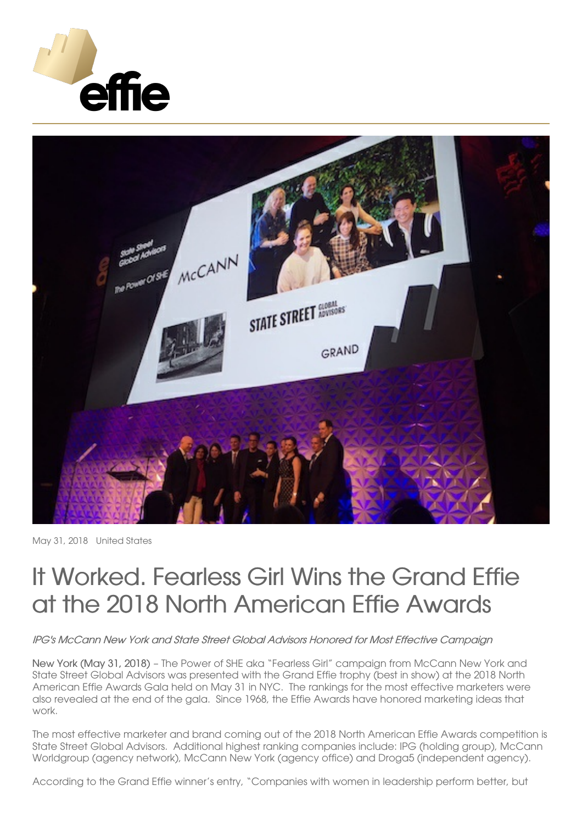



May 31, 2018 United States

## It Worked. Fearless Girl Wins the Grand Effie at the 2018 North American Effie Awards

IPG's McCann New York and State Street Global Advisors Honored for Most Effective Campaign

New York (May 31, 2018) – The Power of SHE aka "Fearless Girl" campaign from McCann New York and State Street Global Advisors was presented with the Grand Effie trophy (best in show) at the 2018 North American Effie Awards Gala held on May 31 in NYC. The rankings for the most effective marketers were also revealed at the end of the gala. Since 1968, the Effie Awards have honored marketing ideas that work.

The most effective marketer and brand coming out of the 2018 North American Effie Awards competition is State Street Global Advisors. Additional highest ranking companies include: IPG (holding group), McCann Worldgroup (agency network), McCann New York (agency office) and Droga5 (independent agency).

According to the Grand Effie winner's entry, "Companies with women in leadership perform better, but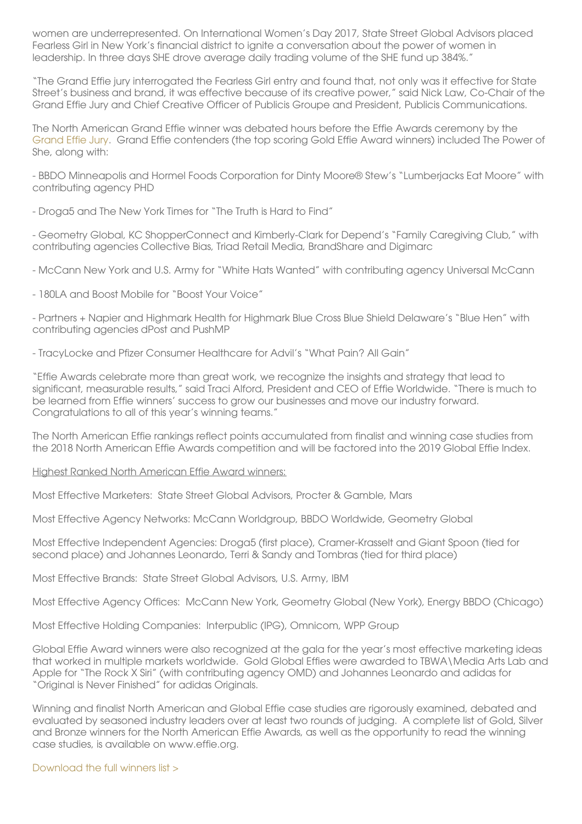women are underrepresented. On International Women's Day 2017, State Street Global Advisors placed Fearless Girl in New York's financial district to ignite a conversation about the power of women in leadership. In three days SHE drove average daily trading volume of the SHE fund up 384%."

"The Grand Effie jury interrogated the Fearless Girl entry and found that, not only was it effective for State Street's business and brand, it was effective because of its creative power," said Nick Law, Co-Chair of the Grand Effie Jury and Chief Creative Officer of Publicis Groupe and President, Publicis Communications.

The North American Grand Effie winner was debated hours before the Effie Awards ceremony by the [Grand](https://effie.org/press_room/250/detail) Effie Jury. Grand Effie contenders (the top scoring Gold Effie Award winners) included The Power of She, along with:

- BBDO Minneapolis and Hormel Foods Corporation for Dinty Moore® Stew's "Lumberjacks Eat Moore" with contributing agency PHD

- Droga5 and The New York Times for "The Truth is Hard to Find"

- Geometry Global, KC ShopperConnect and Kimberly-Clark for Depend's "Family Caregiving Club," with contributing agencies Collective Bias, Triad Retail Media, BrandShare and Digimarc

- McCann New York and U.S. Army for "White Hats Wanted" with contributing agency Universal McCann

- 180LA and Boost Mobile for "Boost Your Voice"

- Partners + Napier and Highmark Health for Highmark Blue Cross Blue Shield Delaware's "Blue Hen" with contributing agencies dPost and PushMP

- TracyLocke and Pfizer Consumer Healthcare for Advil's "What Pain? All Gain"

"Effie Awards celebrate more than great work, we recognize the insights and strategy that lead to significant, measurable results," said Traci Alford, President and CEO of Effie Worldwide. "There is much to be learned from Effie winners' success to grow our businesses and move our industry forward. Congratulations to all of this year's winning teams."

The North American Effie rankings reflect points accumulated from finalist and winning case studies from the 2018 North American Effie Awards competition and will be factored into the 2019 Global Effie Index.

Highest Ranked North American Effie Award winners:

Most Effective Marketers: State Street Global Advisors, Procter & Gamble, Mars

Most Effective Agency Networks: McCann Worldgroup, BBDO Worldwide, Geometry Global

Most Effective Independent Agencies: Droga5 (first place), Cramer-Krasselt and Giant Spoon (tied for second place) and Johannes Leonardo, Terri & Sandy and Tombras (tied for third place)

Most Effective Brands: State Street Global Advisors, U.S. Army, IBM

Most Effective Agency Offices: McCann New York, Geometry Global (New York), Energy BBDO (Chicago)

Most Effective Holding Companies: Interpublic (IPG), Omnicom, WPP Group

Global Effie Award winners were also recognized at the gala for the year's most effective marketing ideas that worked in multiple markets worldwide. Gold Global Effies were awarded to TBWA\Media Arts Lab and Apple for "The Rock X Siri" (with contributing agency OMD) and Johannes Leonardo and adidas for "Original is Never Finished" for adidas Originals.

Winning and finalist North American and Global Effie case studies are rigorously examined, debated and evaluated by seasoned industry leaders over at least two rounds of judging. A complete list of Gold, Silver and Bronze winners for the North American Effie Awards, as well as the opportunity to read the winning case studies, is available on www.effie.org.